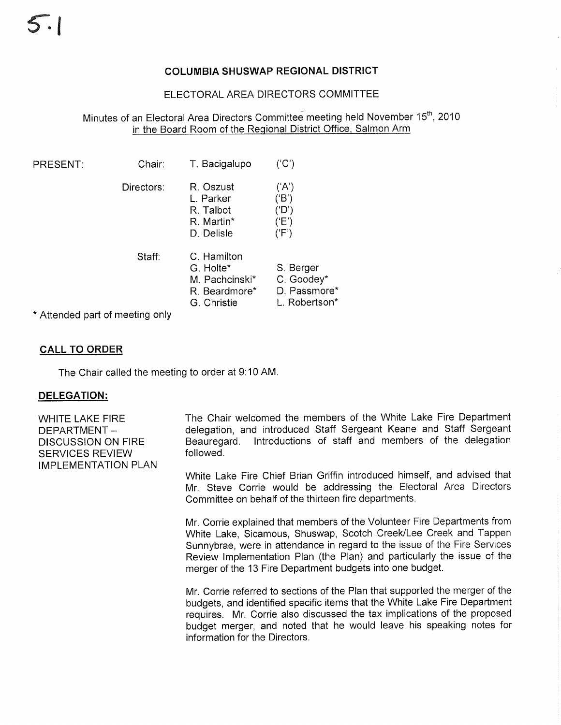# COLUMBIA SHUSWAP REGIONAL DISTRICT

# ELECTORAL AREA DIRECTORS COMMITTEE

# Minutes of an Electoral Area Directors Committee meeting held November 15<sup>th</sup>, 2010 in the Board Room of the Reqional District Office, Salmon Arm

| <b>PRESENT:</b>                 | Chair:     | T. Bacigalupo                                                              | ('C')                                                    |
|---------------------------------|------------|----------------------------------------------------------------------------|----------------------------------------------------------|
|                                 | Directors: | R. Oszust<br>L. Parker<br>R. Talbot<br>R. Martin*<br>D. Delisle            | ('A')<br>('B')<br>('D')<br>(E')<br>('F')                 |
|                                 | Staff:     | C. Hamilton<br>G. Holte*<br>M. Pachcinski*<br>R. Beardmore*<br>G. Christie | S. Berger<br>C. Goodey*<br>D. Passmore*<br>L. Robertson* |
| * Attonded nort of mooting only |            |                                                                            |                                                          |

\* Attended part of meeting only

# CALL TO ORDER

The Chair called the meeting to order at 9:10 AM.

### DELEGATION:

WHITE LAKE FIRE DEPARTMENT-DISCUSSION ON FIRE SERVICES REVIEW IMPLEMENTATION PLAN The Chair welcomed the members of the White Lake Fire Department delegation, and introduced Staff Sergeant Keane and Staff Sergeant Beauregard. lntroductions of staff and members of the delegation followed.

White Lake Fire Chief Brian Griffin introduced himself, and advised that Mr. Steve Corrie would be addressing the Electoral Area Directors Committee on behalf of the thirteen fire departments.

Mr. Corrie explained that memþers of the Volunteer Fire Departments from White Lake, Sicamous, Shuswap, Scotch Creek/Lee Creek and Tappen Sunnybrae, were in attendance in regard to the issue of the Fire Services Review lmplementation Plan (the Plan) and particularly the issue of the merger of the 13 Fire Department budgets into one budget.

Mr. Corrie referred to sections of the Plan that supported the merger of the budgets, and identified specific items that the White Lake Fire Department requires. Mr. Corrie also discussed the tax implications of the proposed budget merger, and noted that he would leave his speaking notes for information for the Directors.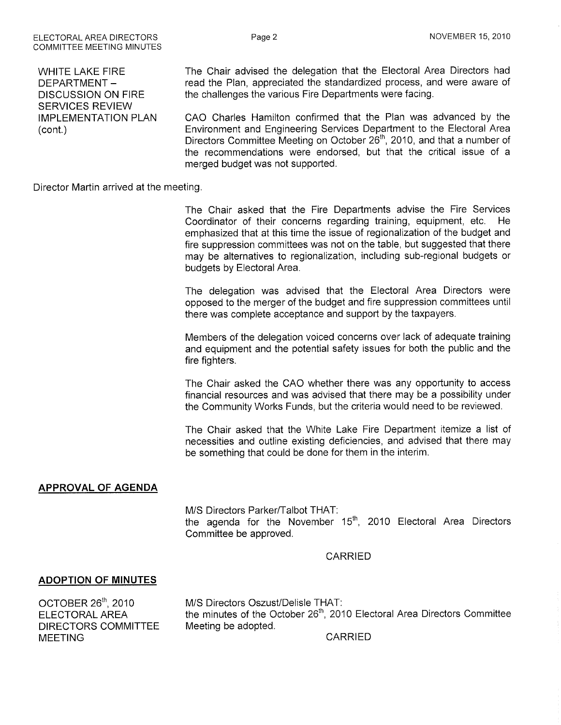WHITE LAKE FIRE DEPARTMENT-DISCUSSION ON FIRE SERVICES REVIEW IMPLEMENTATION PLAN (cont.)

FLECTORAL AREA DIRECTORS COMMITTEE MEETING MINUTES

> The Chair advised the delegation that the Electoral Area Directors had read the Plan, appreciated the standardized process, and were aware of the challenges the various Fire Departments were facing.

> CAO Charles Hamilton confirmed that the Plan was advanced by the Environment and Engineering Services Department to the Electoral Area Directors Committee Meeting on October 26<sup>th</sup>, 2010, and that a number of the recommendations were endorsed, but that the critical issue of <sup>a</sup> merged budget was not supported.

Director Martin arrived at the meeting.

The Chair asked that the Fire Departments advise the Fire Services Coordinator of their concerns regarding training, equipment, etc. He emphasized that at this time the issue of regionalization of the budget and fire suppression committees was not on the table, but suggested that there may be alternatives to regionalization, including sub-regional budgets or budgets by Electoral Area.

The delegation was advised that the Electoral Area Directors were opposed to the merger of the budget and fire suppression committees until there was complete acceptance and support by the taxpayers.

Members of the delegation voiced concerns over lack of adequate training and equipment and the potential safety issues for both the public and the fire fighters.

The Chair asked the CAO whether there was any opportunity to access financial resources and was advised that there may be a possibility under the Community Works Funds, but the criteria would need to be reviewed.

The Chair asked that the White Lake Fire Department itemize a list of necessities and outline existing deficiencies, and advised that there may be something that could be done for them in the interim.

# APPROVAL OF AGENDA

M/S Directors Parker/Talbot THAT: the agenda for the November 15<sup>th</sup>, 2010 Electoral Area Directors Committee be approved.

#### CARRIED

# ADOPTION OF MINUTES

ocroBER 26'n,2010 ELECTORAL AREA DIRECTORS COMMITTEE MEETING

M/S Directors Oszust/Delisle THAT: the minutes of the October  $26<sup>th</sup>$ , 2010 Electoral Area Directors Committee Meeting be adopted.

CARRIED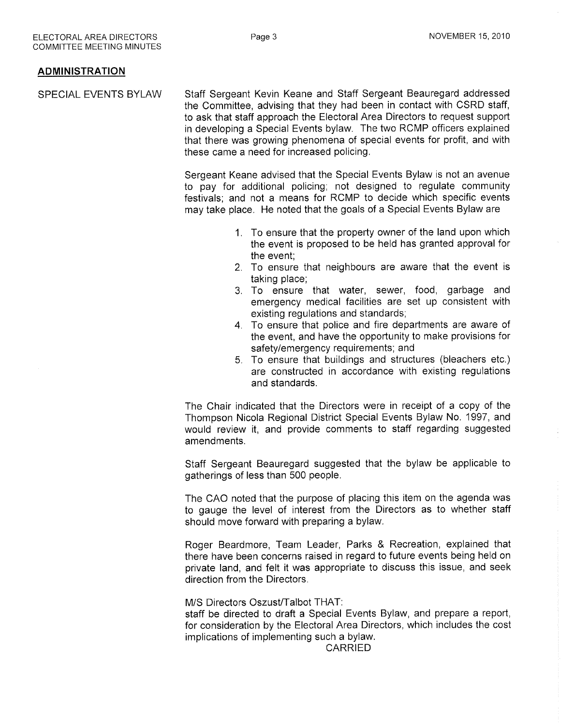### ADMINISTRATION

SPECIAL EVENTS BYLAW Staff Sergeant Kevin Keane and Staff Sergeant Beauregard addressed the Committee, advising that they had been in contact with CSRD staff, to ask that staff approach the Electoral Area Directors to request support in developing a Special Events bylaw. The two RCMP officers explained that there was growing phenomena of special events for profit, and with these came a need for increased policing.

> Sergeant Keane advised that the Special Events Bylaw is not an avenue to pay for additional policing; not designed to regulate community festivals; and not a means for RCMP to decide which specific events may take place. He noted that the goals of a Special Events Bylaw are

- 1. To ensure that the property owner of the land upon which the event is proposed to be held has granted approval for the event:
- 2. To ensure that neighbours are aware that the event is taking place;
- 3. To ensure that water, sewer, food, garbage and emergency medical facilities are set up consistent with existing regulations and standards;
- 4. To ensure that police and fire departments are aware of the event, and have the opportunity to make provisions for safety/emergency requirements; and
- 5. To ensure that buildings and structures (bleachers etc.) are constructed in accordance with existing regulations and standards.

The Chair indicated that the Directors were in receipt of a copy of the Thompson Nicola Regional District Special Events Bylaw No. 1997, and would review it, and provide comments to staff regarding suggested amendments.

Staff Sergeant Beauregard suggested that the bylaw be applicable to gatherings of less than 500 people.

The CAO noted that the purpose of placing this item on the agenda was to gauge the level of interest from the Directors as to whether staff should move fonvard with preparing a bylaw.

Roger Beardmore, Team Leader, Parks & Recreation, explained that there have been concerns raised in regard to future events being held on private land, and felt it was appropriate to discuss this issue, and seek direction from the Directors.

#### M/S Directors Oszust/Talbot THAT:

staff be directed to draft a Special Events Bylaw, and prepare a report, for consideration by the Electoral Area Directors, which includes the cost implications of implementing such a bylaw.

CARRIED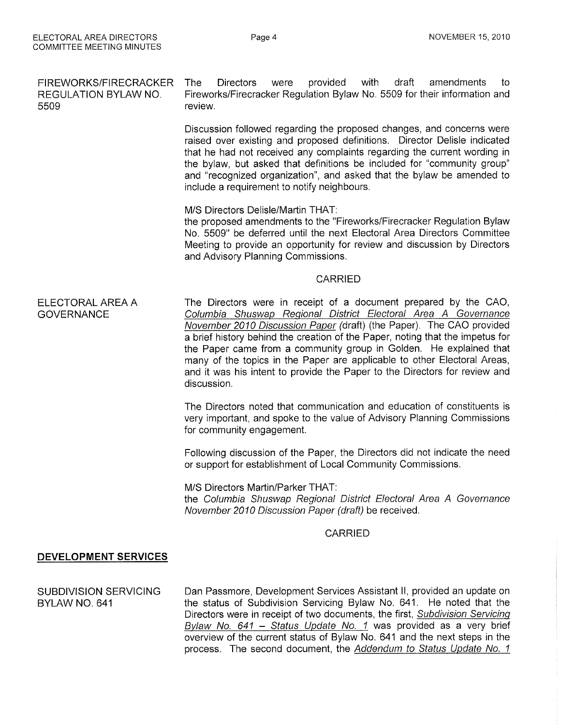FIREWORKS/FIRECRACKER REGULATION BYLAW NO. 5509 ELECTORAL AREA A **GOVERNANCE** DEVELOPMENT SERVICES SUBDIVISION SERVICING BYLAW NO. 641 The Directors were provided with draft amendments to Fireworks/Firecracker Regulation Bylaw No. 5509 for their information and review. Discussion followed regarding the proposed changes, and concerns were raised over existing and proposed definitions, Director Delisle indicated that he had not received any complaints regarding the current wording in the bylaw, but asked that definitions be included for "community group" and "recognized organization", and asked that the bylaw be amended to include a requirement to notify neighbours. M/S Directors Delisle/Martin THAT: the proposed amendments to the "Fireworks/Firecracker Regulation Bylaw No. 5509" be deferred until the next Electoral Area Directors Committee Meeting to provide an opportunity for review and discussion by Directors and Advisory Planning Commissions. CARRIED The Directors were in receipt of a document prepared by the CAO, Columbia Shuswap Reqional District Electoral Area A Governance November 2010 Discussion Paper (draft) (the Paper). The CAO provided a brief history behind the creation of the Paper, noting that the impetus for the Paper came from a community group in Golden. He explained that many of the topics in the Paper are applicable to other Electoral Areas, and it was his intent to provide the Paper to the Directors for review and discussion. The Directors noted that communication and education of constituents is very important, and spoke to the value of Advisory Planning Commissions for community engagement. Following discussion of the Paper, the Directors did not indicate the need or support for establishment of Local Community Commissions. M/S Directors Martin/Parker THAT: the Columbia Shuswap Regional District Electoral Area A Governance November 2010 Discussion Paper (draft) þe received, CARRIED Dan Passmore, Development Services Assistant ll, provided an update on the status of Subdivision Servicing Bylaw No. 641. He noted that the Directors were in receipt of two documents, the first, Subdivision Servicing Bylaw No. 641 - Status Update No. 1 was provided as a very brief overview of the current status of Bylaw No. 641 and the next steps in the

process. The second document, the Addendum to Status Update No. 1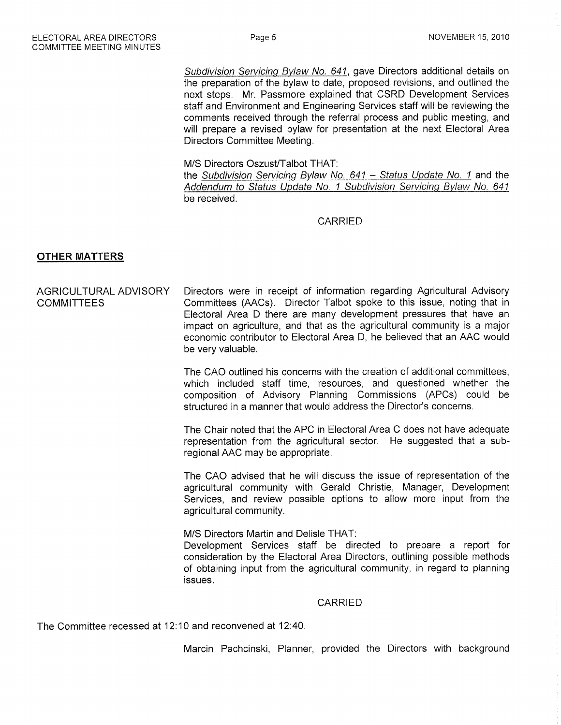Subdivision Servicing Bylaw No. 641, gave Directors additional details on the preparation of the bylaw to date, proposed revisions, and outlined the next steps. Mr. Passmore explained that CSRD Development Services staff and Environment and Engineering Services staff will be reviewing the comments received through the referral process and public meeting, and will prepare a revised bylaw for presentation at the next Electoral Area Directors Committee Meeting.

M/S Directors Oszust/Talbot THAT:

the Subdivision Servicing Bylaw No.  $641 -$  Status Update No. 1 and the Addendum to Status Update No. 1 Subdivision Servicing Bylaw No. 641 be received.

# CARRIED

# OTHER MATTERS

AGRICULTURAL ADVISORY Directors were in receipt of information regarding Agricultural Advisory COMMITTEES Committees (AACs). Director Talbot spoke to this issue, noting that in Electoral Area D there are many development pressures that have an impact on agriculture, and that as the agricultural community is a major economic contributor to Electoral Area D, he believed that an AAC would be very valuable.

> The CAO outlined his concerns with the creation of additional committees, which included staff time, resources, and questioned whether the composition of Advisory Planning Commissions (APCs) could be structured in a manner that would address the Director's concerns.

> The Chair noted that the APC in Electoral Area C does not have adequate representation from the agricultural sector. He suggested that a subregional AAC may be appropriate.

> The CAO advised that he will discuss the issue of representation of the agricultural community with Gerald Christie, Manager, Development Services, and review possible options to allow more input from the agricultural community.

> M/S Directors Martin and Delisle THAT: Development Services staff be directed to prepare a report for consideration by the Electoral Area Directors, outlining possible methods of obtaining input from the agricultural community, in regard to planning issues

#### CARRIED

The Committee recessed at 12:10 and reconvened at 12:40.

Marcin Pachcinski, Planner, provided the Directors with background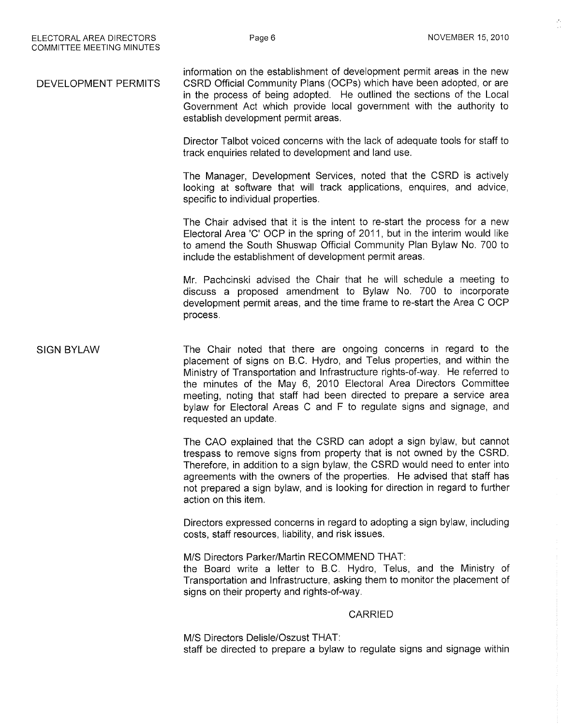DEVELOPMENT PERMITS information on the establishment of development permit areas in the new CSRD Official Community Plans (OCPs) which have been adopted, or are in the process of being adopted. He outlined the sections of the Local Government Act which provide local government with the authority to establish development permit areas.

> Director Talbot voiced concerns with the lack of adequate tools for staff to track enquiries related to development and land use.

> The Manager, Development Services, noted that the CSRD is actively looking at software that will track applications, enquires, and advice, specific to individual properties.

> The Chair advised that it is the intent to re-start the process for a new Electoral Area 'C' OCP in the spring of 2011, but in the interim would like to amend the South Shuswap Official Community Plan Bylaw No. 700 to include the establishment of development permit areas.

> Mr. Pachcinski advised the Chair that he will schedule a meeting to discuss a proposed amendment to Bylaw No. 700 to incorporate development permit areas, and the time frame to re-start the Area C OCP process.

SIGN BYLAW The Chair noted that there are ongoing concerns in regard to the placement of signs on B.C. Hydro, and Telus properties, and within the Ministry of Transporlation and lnfrastructure rights-of-way. He referred to the minutes of the May 6, 2010 Electoral Area Directors Committee meeting, noting that staff had been directed to prepare a service area bylaw for Electoral Areas C and F to regulate signs and signage, and requested an update.

> The CAO explained that the CSRD can adopt a sign bylaw, but cannot trespass to remove signs from property that is not owned by the CSRD. Therefore, in addition to a sign bylaw, the CSRD would need to enter into agreements with the owners of the properties. He advised that staff has not prepared a sign bylaw, and is looking for direction in regard to further action on this item.

> Directors expressed concerns in regard to adopting a sign bylaw, including costs, staff resources, liability, and risk issues.

> M/S Directors Parker/Martin RECOMMEND THAT: the Board write a letter to B.C. Hydro, Telus, and the Ministry of

Transportation and Infrastructure, asking them to monitor the placement of signs on their property and rights-of-way.

#### CARRIED

M/S Directors Delisle/Oszust THAT: staff be directed to prepare a bylaw to regulate signs and signage within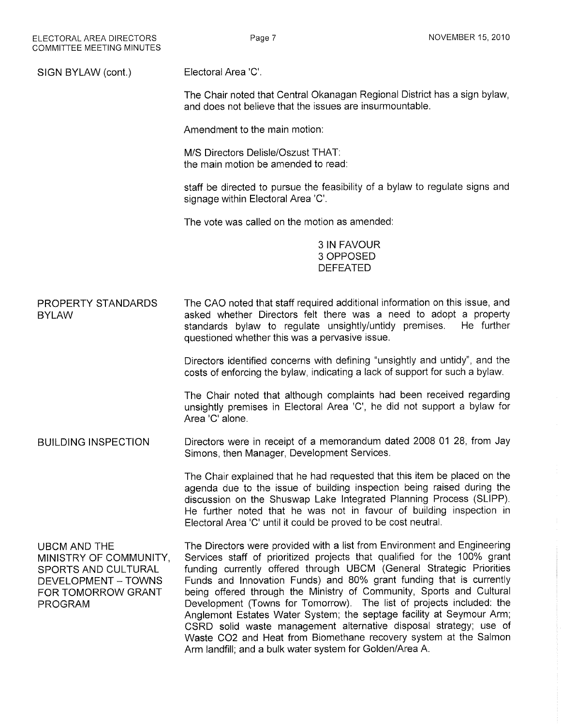SIGN BYLAW (cont.) Electoral Area 'C'.

> The Chair noted that Central Okanagan Regional District has a sign bylaw, and does not believe that the issues are insurmountable.

Amendment to the main motion:

M/S Directors Delisle/Oszust THAT: the main motion be amended to read:

staff be directed to pursue the feasibility of a bylaw to regulate signs and signage within Electoral Area 'C'.

The vote was called on the motion as amended:

3IN FAVOUR 3 OPPOSED DEFEATED

PROPERTY STANDARDS **BYLAW** The CAO noted that staff required additional information on this issue, and asked whether Directors felt there was a need to adopt a property<br>standards bylaw to regulate unsightly/untidy premises. He further standards bylaw to regulate unsightly/untidy premises. questioned whether this was a pervasive issue.

> Directors identified concerns with defining "unsightly and untidy", and the costs of enforcing the bylaw, indicating a lack of support for such a bylaw.

> The Chair noted that although complaints had been received regarding unsightly premises in Electoral Area 'C', he did not support a bylaw for Area'C'alone.

BUILDING INSPECTION Directors were in receipt of a memorandum dated 2008 01 28, from Jay Simons, then Manager, Development Services.

> The Chair explained that he had requested that this item be placed on the agenda due to the issue of building inspection being raised during the discussion on the Shuswap Lake lntegrated Planning Process (SLIPP). He further noted that he was not in favour of building inspection in Electoral Area 'C' until it could be proved to be cost neutral.

UBCM AND THE MINISTRY OF COMMUNITY, SPORTS AND CULTURAL DEVELOPMENT \_ TOWNS FOR TOMORROW GRANT PROGRAM

The Directors were provided with a list from Environment and Engineering Services staff of prioritized projects that qualified for the 100% grant funding currently offered through UBCM (General Strategic Priorities Funds and lnnovation Funds) and 80% grant funding that is currently being offered through the Ministry of Community, Sports and Cultural Development (Towns for Tomorrow). The list of projects included: the Anglemont Estates Water System; the septage facility at Seymour Arm; CSRD solid waste management alternative disposal strategy; use of Waste CO2 and Heat from Biomethane recovery system at the Salmon Arm landfill; and a bulk water system for Golden/Area A.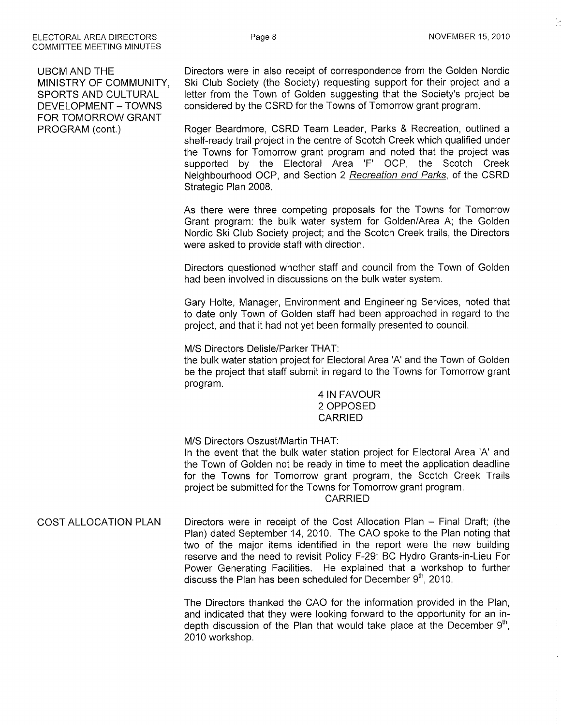UBCM AND THE MINISTRY OF COMMUNITY, SPORTS AND CULTURAL DEVELOPMENT \_ TOWNS FOR TOMORROW GRANT PROGRAM (cont.)

Directors were in also receipt of correspondence from the Golden Nordic Ski Club Socieiy (the Society) requesting support for their project and a letter from the Town of Golden suggesting that the Society's project be considered by the CSRD for the Towns of Tomorrow grant program.

Roger Beardmore, CSRD Team Leader, Parks & Recreation, outlined a shelf-ready trail project in the centre of Scotch Creek which qualified under the Towns for Tomorrow grant program and noted that the project was supported by the Electoral Area 'F' OCP, the Scotch Creek Neighbourhood OCP, and Section 2 Recreation and Parks, of the CSRD Strategic Plan 2008.

As there were three competing proposals for the Towns for Tomorrow Grant program: the bulk water system for Golden/Area A; the Golden Nordic Ski Club Society project; and the Scotch Creek trails, the Directors were asked to provide staff with direction.

Directors questioned whether staff and council from the Town of Golden had been involved in discussions on the bulk water system.

Gary Holte, Manager, Environment and Engineering Services, noted that to date only Town of Golden staff had been approached in regard to the project, and that it had not yet been formally presented to council.

M/S Directors Delisle/Parker THAT:

the bulk water station project for Electoral Area 'A' and the Town of Golden be the project that staff submit in regard to the Towns for Tomorrow grant program.

> 4IN FAVOUR 2 OPPOSED CARRIED

M/S Directors Oszust/Martin THAT:

ln the event that the bulk water station project for Electoral Area 'A' and the Town of Golden not be ready in time to meet the application deadline for the Towns for Tomorrow grant program, the Scotch Creek Trails project be submitted for the Towns for Tomorrow grant program. CARRIED

#### COST ALLOCATION PLAN Directors were in receipt of the Cost Allocation Plan - Final Draft; (the Plan) dated September 14,2010. The CAO spoke to the Plan noting that two of the major items identified in the report were the new building reserve and the need to revisit Policy F-29: BC Hydro Grants-in-Lieu For Power Generating Facilities. He explained that a workshop to further discuss the Plan has been scheduled for December  $9<sup>th</sup>$ , 2010.

The Directors thanked the CAO for the information provided in the Plan, and indicated that they were looking fonruard to the opportunity for an indepth discussion of the Plan that would take place at the December  $9<sup>th</sup>$ , 2010 workshop.